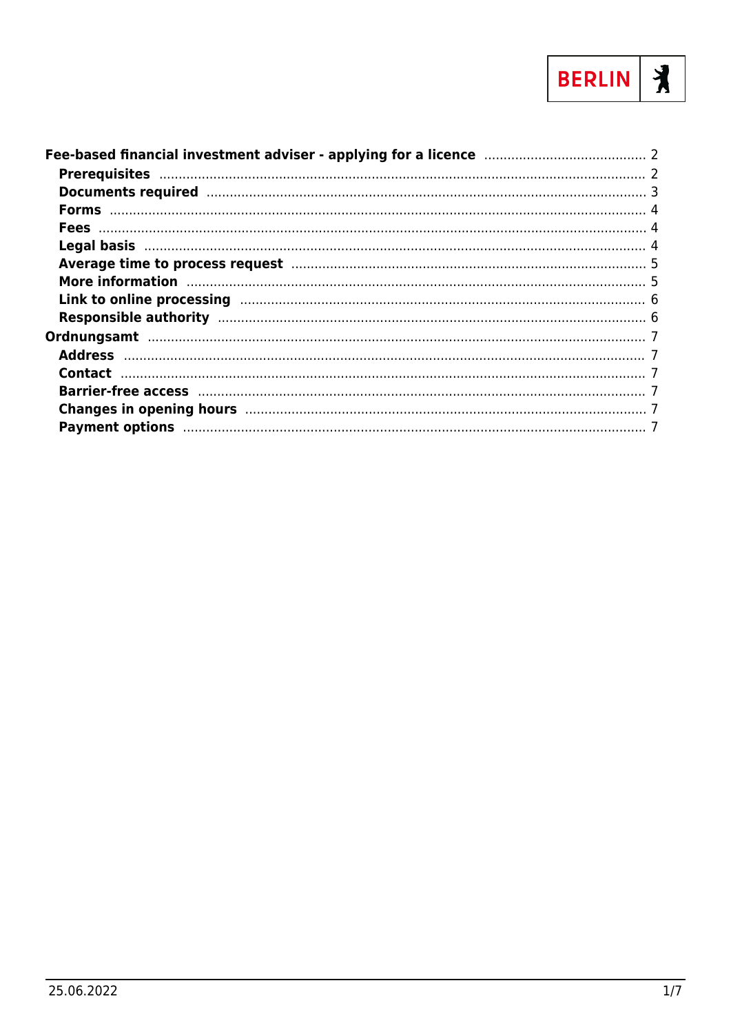

| Documents required manufactured and a 3                                                                                                                                                                                        |  |
|--------------------------------------------------------------------------------------------------------------------------------------------------------------------------------------------------------------------------------|--|
|                                                                                                                                                                                                                                |  |
|                                                                                                                                                                                                                                |  |
|                                                                                                                                                                                                                                |  |
| Average time to process request manufacture and the contract of the state of the state of the state of the state of the state of the state of the state of the state of the state of the state of the state of the state of th |  |
| More information manufactured and the manufacture of the state of the state of the state of the state of the s                                                                                                                 |  |
|                                                                                                                                                                                                                                |  |
|                                                                                                                                                                                                                                |  |
|                                                                                                                                                                                                                                |  |
|                                                                                                                                                                                                                                |  |
|                                                                                                                                                                                                                                |  |
|                                                                                                                                                                                                                                |  |
| Changes in opening hours manufactured and the control of the control of the control of the control of the control of the control of the control of the control of the control of the control of the control of the control of  |  |
| Payment options manufactured and all the contract of the contract of the contract of the contract of the contract of the contract of the contract of the contract of the contract of the contract of the contract of the contr |  |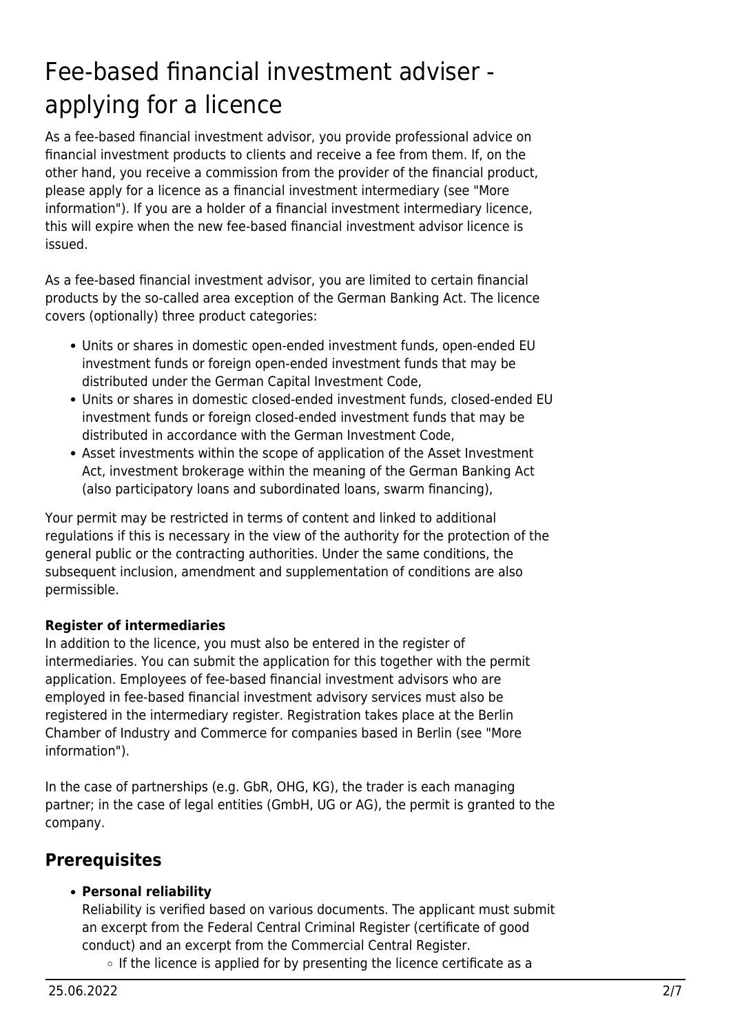# <span id="page-1-0"></span>Fee-based financial investment adviser applying for a licence

As a fee-based financial investment advisor, you provide professional advice on financial investment products to clients and receive a fee from them. If, on the other hand, you receive a commission from the provider of the financial product, please apply for a licence as a financial investment intermediary (see "More information"). If you are a holder of a financial investment intermediary licence, this will expire when the new fee-based financial investment advisor licence is issued.

As a fee-based financial investment advisor, you are limited to certain financial products by the so-called area exception of the German Banking Act. The licence covers (optionally) three product categories:

- Units or shares in domestic open-ended investment funds, open-ended EU investment funds or foreign open-ended investment funds that may be distributed under the German Capital Investment Code,
- Units or shares in domestic closed-ended investment funds, closed-ended EU investment funds or foreign closed-ended investment funds that may be distributed in accordance with the German Investment Code,
- Asset investments within the scope of application of the Asset Investment Act, investment brokerage within the meaning of the German Banking Act (also participatory loans and subordinated loans, swarm financing),

Your permit may be restricted in terms of content and linked to additional regulations if this is necessary in the view of the authority for the protection of the general public or the contracting authorities. Under the same conditions, the subsequent inclusion, amendment and supplementation of conditions are also permissible.

#### **Register of intermediaries**

In addition to the licence, you must also be entered in the register of intermediaries. You can submit the application for this together with the permit application. Employees of fee-based financial investment advisors who are employed in fee-based financial investment advisory services must also be registered in the intermediary register. Registration takes place at the Berlin Chamber of Industry and Commerce for companies based in Berlin (see "More information").

In the case of partnerships (e.g. GbR, OHG, KG), the trader is each managing partner; in the case of legal entities (GmbH, UG or AG), the permit is granted to the company.

## <span id="page-1-1"></span>**Prerequisites**

#### **Personal reliability**

Reliability is verified based on various documents. The applicant must submit an excerpt from the Federal Central Criminal Register (certificate of good conduct) and an excerpt from the Commercial Central Register.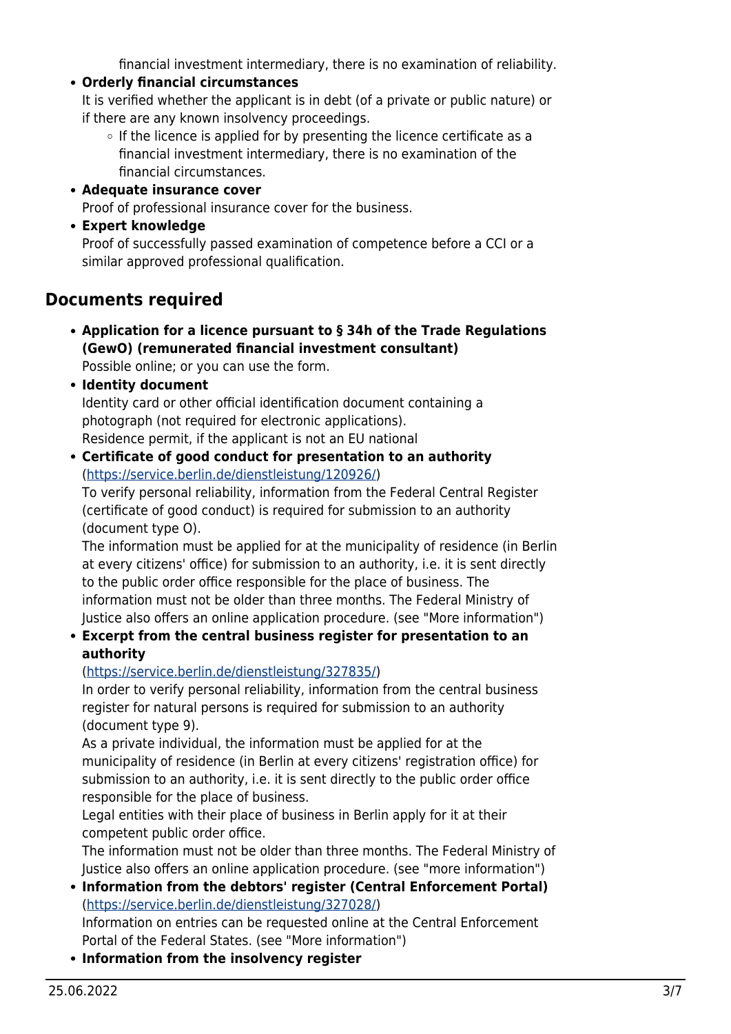financial investment intermediary, there is no examination of reliability.

**Orderly financial circumstances**

It is verified whether the applicant is in debt (of a private or public nature) or if there are any known insolvency proceedings.

- $\circ$  If the licence is applied for by presenting the licence certificate as a financial investment intermediary, there is no examination of the financial circumstances.
- **Adequate insurance cover** Proof of professional insurance cover for the business.
- **Expert knowledge**

Proof of successfully passed examination of competence before a CCI or a similar approved professional qualification.

## <span id="page-2-0"></span>**Documents required**

**Application for a licence pursuant to § 34h of the Trade Regulations (GewO) (remunerated financial investment consultant)**

Possible online; or you can use the form.

- **Identity document** Identity card or other official identification document containing a photograph (not required for electronic applications). Residence permit, if the applicant is not an EU national
- **Certificate of good conduct for presentation to an authority** (<https://service.berlin.de/dienstleistung/120926/>)

To verify personal reliability, information from the Federal Central Register (certificate of good conduct) is required for submission to an authority (document type O).

The information must be applied for at the municipality of residence (in Berlin at every citizens' office) for submission to an authority, i.e. it is sent directly to the public order office responsible for the place of business. The information must not be older than three months. The Federal Ministry of Justice also offers an online application procedure. (see "More information")

#### **Excerpt from the central business register for presentation to an authority**

#### (<https://service.berlin.de/dienstleistung/327835/>)

In order to verify personal reliability, information from the central business register for natural persons is required for submission to an authority (document type 9).

As a private individual, the information must be applied for at the municipality of residence (in Berlin at every citizens' registration office) for submission to an authority, i.e. it is sent directly to the public order office responsible for the place of business.

Legal entities with their place of business in Berlin apply for it at their competent public order office.

The information must not be older than three months. The Federal Ministry of Justice also offers an online application procedure. (see "more information")

- **Information from the debtors' register (Central Enforcement Portal)** (<https://service.berlin.de/dienstleistung/327028/>) Information on entries can be requested online at the Central Enforcement Portal of the Federal States. (see "More information")
- **Information from the insolvency register**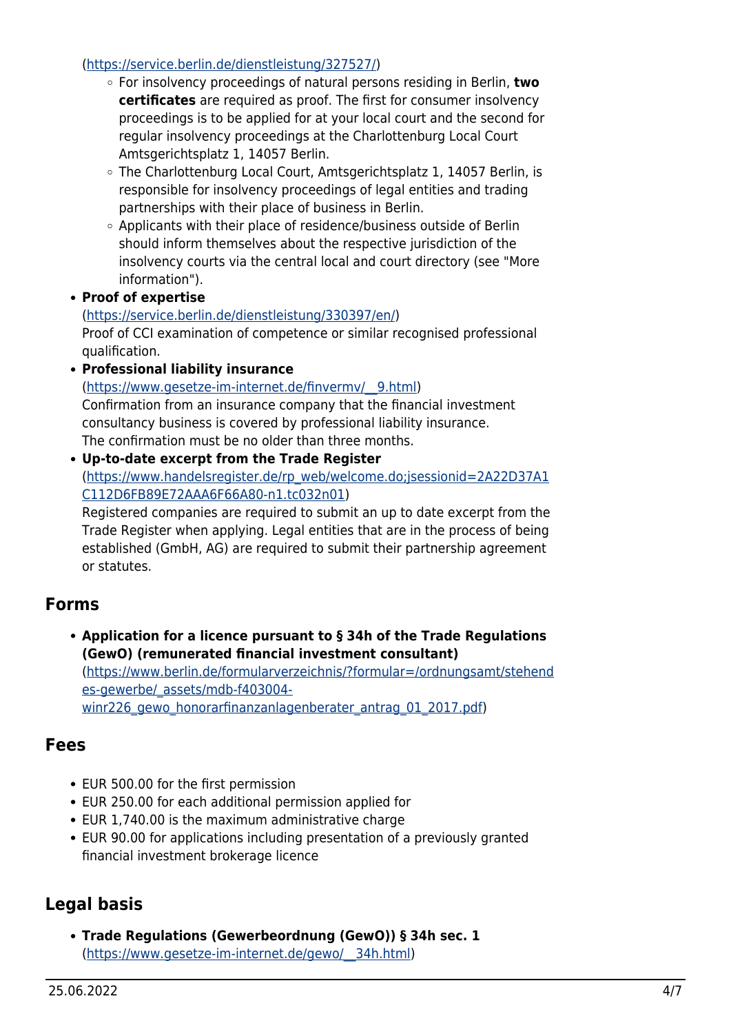#### (<https://service.berlin.de/dienstleistung/327527/>)

- For insolvency proceedings of natural persons residing in Berlin, **two certificates** are required as proof. The first for consumer insolvency proceedings is to be applied for at your local court and the second for regular insolvency proceedings at the Charlottenburg Local Court Amtsgerichtsplatz 1, 14057 Berlin.
- The Charlottenburg Local Court, Amtsgerichtsplatz 1, 14057 Berlin, is responsible for insolvency proceedings of legal entities and trading partnerships with their place of business in Berlin.
- Applicants with their place of residence/business outside of Berlin should inform themselves about the respective jurisdiction of the insolvency courts via the central local and court directory (see "More information").
- **Proof of expertise**

#### ([https://service.berlin.de/dienstleistung/330397/en/\)](https://service.berlin.de/dienstleistung/330397/en/)

Proof of CCI examination of competence or similar recognised professional qualification.

**Professional liability insurance**

([https://www.gesetze-im-internet.de/finvermv/\\_\\_9.html](https://www.gesetze-im-internet.de/finvermv/__9.html)) Confirmation from an insurance company that the financial investment consultancy business is covered by professional liability insurance. The confirmation must be no older than three months.

**Up-to-date excerpt from the Trade Register** ([https://www.handelsregister.de/rp\\_web/welcome.do;jsessionid=2A22D37A1](https://www.handelsregister.de/rp_web/welcome.do;jsessionid=2A22D37A1C112D6FB89E72AAA6F66A80-n1.tc032n01) [C112D6FB89E72AAA6F66A80-n1.tc032n01](https://www.handelsregister.de/rp_web/welcome.do;jsessionid=2A22D37A1C112D6FB89E72AAA6F66A80-n1.tc032n01)) Registered companies are required to submit an up to date excerpt from the

Trade Register when applying. Legal entities that are in the process of being established (GmbH, AG) are required to submit their partnership agreement or statutes.

#### <span id="page-3-0"></span>**Forms**

**Application for a licence pursuant to § 34h of the Trade Regulations (GewO) (remunerated financial investment consultant)** ([https://www.berlin.de/formularverzeichnis/?formular=/ordnungsamt/stehend](https://www.berlin.de/formularverzeichnis/?formular=/ordnungsamt/stehendes-gewerbe/_assets/mdb-f403004-winr226_gewo_honorarfinanzanlagenberater_antrag_01_2017.pdf)

es-gewerbe/ assets/mdb-f403004[winr226\\_gewo\\_honorarfinanzanlagenberater\\_antrag\\_01\\_2017.pdf\)](https://www.berlin.de/formularverzeichnis/?formular=/ordnungsamt/stehendes-gewerbe/_assets/mdb-f403004-winr226_gewo_honorarfinanzanlagenberater_antrag_01_2017.pdf)

#### <span id="page-3-1"></span>**Fees**

- EUR 500.00 for the first permission
- EUR 250.00 for each additional permission applied for
- EUR 1,740.00 is the maximum administrative charge
- EUR 90.00 for applications including presentation of a previously granted financial investment brokerage licence

## <span id="page-3-2"></span>**Legal basis**

**Trade Regulations (Gewerbeordnung (GewO)) § 34h sec. 1** ([https://www.gesetze-im-internet.de/gewo/\\_\\_34h.html](https://www.gesetze-im-internet.de/gewo/__34h.html))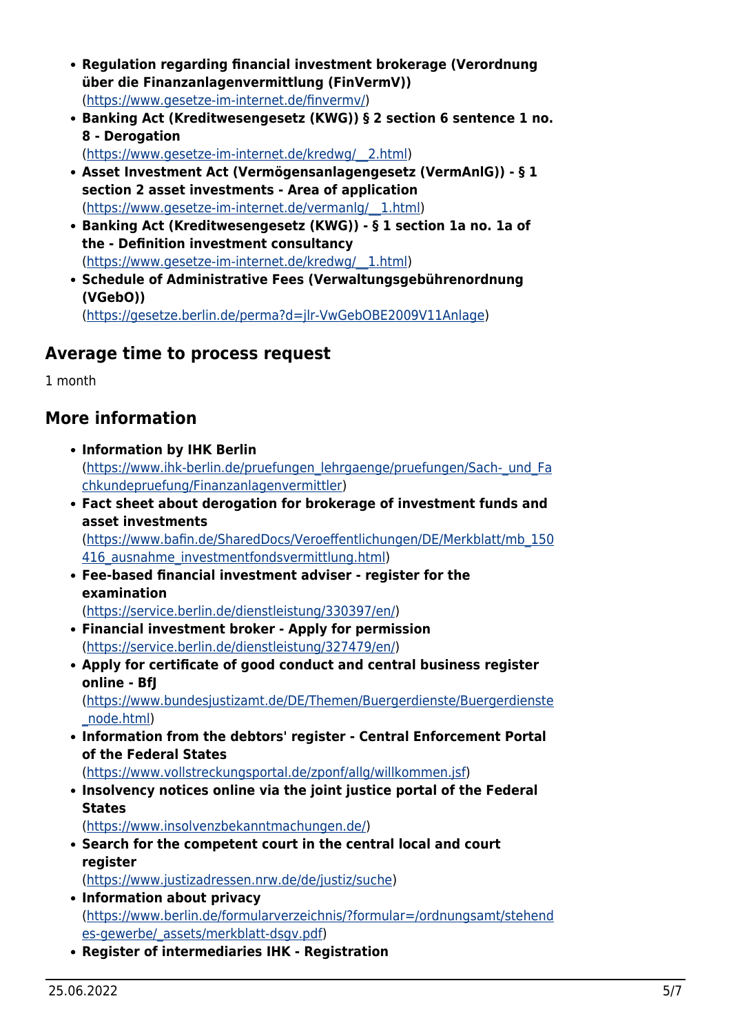- **Regulation regarding financial investment brokerage (Verordnung über die Finanzanlagenvermittlung (FinVermV))** (<https://www.gesetze-im-internet.de/finvermv/>)
- **Banking Act (Kreditwesengesetz (KWG)) § 2 section 6 sentence 1 no. 8 - Derogation**

([https://www.gesetze-im-internet.de/kredwg/\\_\\_2.html\)](https://www.gesetze-im-internet.de/kredwg/__2.html)

- **Asset Investment Act (Vermögensanlagengesetz (VermAnlG)) § 1 section 2 asset investments - Area of application** ([https://www.gesetze-im-internet.de/vermanlg/\\_\\_1.html](https://www.gesetze-im-internet.de/vermanlg/__1.html))
- **Banking Act (Kreditwesengesetz (KWG)) § 1 section 1a no. 1a of the - Definition investment consultancy** ([https://www.gesetze-im-internet.de/kredwg/\\_\\_1.html\)](https://www.gesetze-im-internet.de/kredwg/__1.html)
- **Schedule of Administrative Fees (Verwaltungsgebührenordnung (VGebO))** ([https://gesetze.berlin.de/perma?d=jlr-VwGebOBE2009V11Anlage\)](https://gesetze.berlin.de/perma?d=jlr-VwGebOBE2009V11Anlage)

## <span id="page-4-0"></span>**Average time to process request**

1 month

#### <span id="page-4-1"></span>**More information**

- **Information by IHK Berlin** ([https://www.ihk-berlin.de/pruefungen\\_lehrgaenge/pruefungen/Sach-\\_und\\_Fa](https://www.ihk-berlin.de/pruefungen_lehrgaenge/pruefungen/Sach-_und_Fachkundepruefung/Finanzanlagenvermittler) [chkundepruefung/Finanzanlagenvermittler\)](https://www.ihk-berlin.de/pruefungen_lehrgaenge/pruefungen/Sach-_und_Fachkundepruefung/Finanzanlagenvermittler)
- **Fact sheet about derogation for brokerage of investment funds and asset investments**

([https://www.bafin.de/SharedDocs/Veroeffentlichungen/DE/Merkblatt/mb\\_150](https://www.bafin.de/SharedDocs/Veroeffentlichungen/DE/Merkblatt/mb_150416_ausnahme_investmentfondsvermittlung.html) 416 ausnahme investmentfondsvermittlung.html)

**Fee-based financial investment adviser - register for the examination**

([https://service.berlin.de/dienstleistung/330397/en/\)](https://service.berlin.de/dienstleistung/330397/en/)

- **Financial investment broker Apply for permission** ([https://service.berlin.de/dienstleistung/327479/en/\)](https://service.berlin.de/dienstleistung/327479/en/)
- **Apply for certificate of good conduct and central business register online - BfJ**

([https://www.bundesjustizamt.de/DE/Themen/Buergerdienste/Buergerdienste](https://www.bundesjustizamt.de/DE/Themen/Buergerdienste/Buergerdienste_node.html) [\\_node.html](https://www.bundesjustizamt.de/DE/Themen/Buergerdienste/Buergerdienste_node.html))

**Information from the debtors' register - Central Enforcement Portal of the Federal States**

(<https://www.vollstreckungsportal.de/zponf/allg/willkommen.jsf>)

**Insolvency notices online via the joint justice portal of the Federal States**

(<https://www.insolvenzbekanntmachungen.de/>)

- **Search for the competent court in the central local and court register** ([https://www.justizadressen.nrw.de/de/justiz/suche\)](https://www.justizadressen.nrw.de/de/justiz/suche)
- **Information about privacy** ([https://www.berlin.de/formularverzeichnis/?formular=/ordnungsamt/stehend](https://www.berlin.de/formularverzeichnis/?formular=/ordnungsamt/stehendes-gewerbe/_assets/merkblatt-dsgv.pdf) [es-gewerbe/\\_assets/merkblatt-dsgv.pdf\)](https://www.berlin.de/formularverzeichnis/?formular=/ordnungsamt/stehendes-gewerbe/_assets/merkblatt-dsgv.pdf)
- **Register of intermediaries IHK Registration**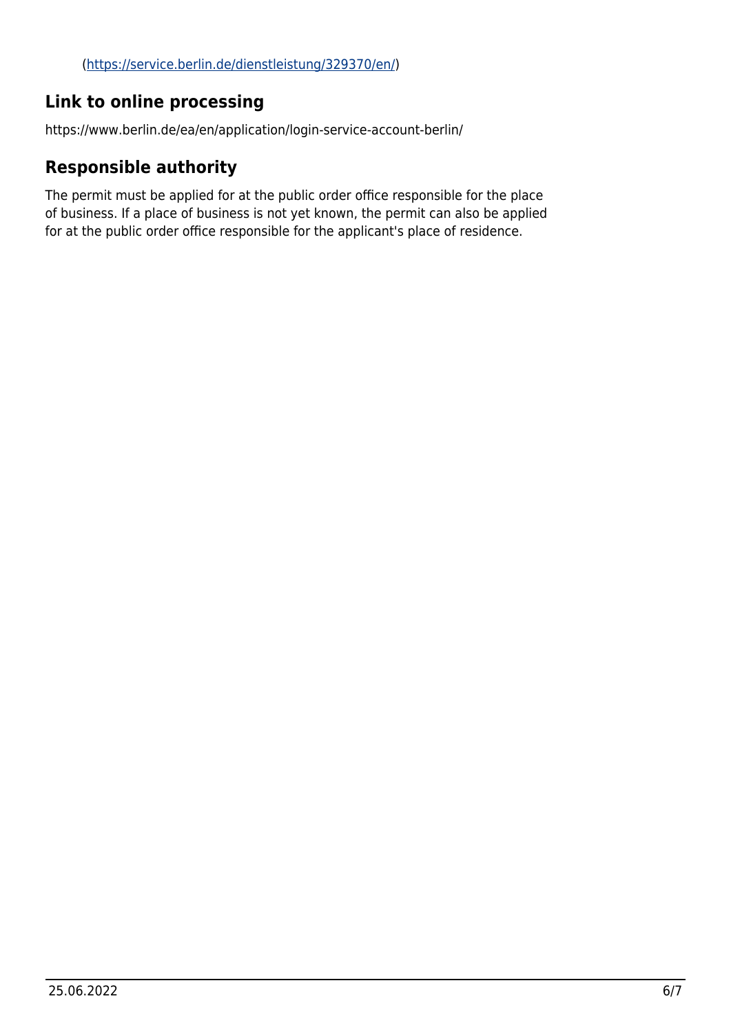## <span id="page-5-0"></span>**Link to online processing**

https://www.berlin.de/ea/en/application/login-service-account-berlin/

## <span id="page-5-1"></span>**Responsible authority**

The permit must be applied for at the public order office responsible for the place of business. If a place of business is not yet known, the permit can also be applied for at the public order office responsible for the applicant's place of residence.